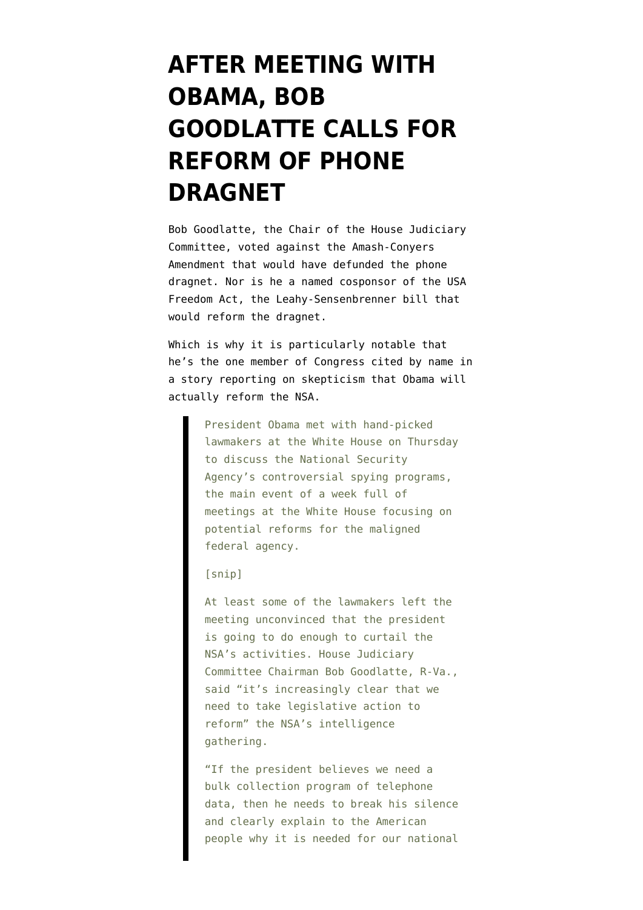## **[AFTER MEETING WITH](https://www.emptywheel.net/2014/01/09/after-meeting-with-obama-bob-goodlatte-calls-for-reform-of-phone-dragnet/) [OBAMA, BOB](https://www.emptywheel.net/2014/01/09/after-meeting-with-obama-bob-goodlatte-calls-for-reform-of-phone-dragnet/) [GOODLATTE CALLS FOR](https://www.emptywheel.net/2014/01/09/after-meeting-with-obama-bob-goodlatte-calls-for-reform-of-phone-dragnet/) [REFORM OF PHONE](https://www.emptywheel.net/2014/01/09/after-meeting-with-obama-bob-goodlatte-calls-for-reform-of-phone-dragnet/) [DRAGNET](https://www.emptywheel.net/2014/01/09/after-meeting-with-obama-bob-goodlatte-calls-for-reform-of-phone-dragnet/)**

Bob Goodlatte, the Chair of the House Judiciary Committee, [voted against](http://clerk.house.gov/evs/2013/roll412.xml) the Amash-Conyers Amendment that would have defunded the phone dragnet. Nor is he a [named cosponsor of the USA](http://sensenbrenner.house.gov/legislation/usa-freedom-act-cosponsors.htm) [Freedom Act](http://sensenbrenner.house.gov/legislation/usa-freedom-act-cosponsors.htm), the Leahy-Sensenbrenner bill that would reform the dragnet.

Which is why it is particularly notable that he's the one member of Congress cited by name in [a story](http://www.nationaljournal.com/technology/lawmakers-skeptical-obama-will-reform-nsa-after-white-house-summit-20140109) reporting on skepticism that Obama will actually reform the NSA.

> President Obama met with hand-picked lawmakers at the White House on Thursday to discuss the National Security Agency's controversial spying programs, the main event of a week full of meetings at the White House focusing on potential reforms for the maligned federal agency.

[snip]

At least some of the lawmakers left the meeting unconvinced that the president is going to do enough to curtail the NSA's activities. House Judiciary Committee Chairman Bob Goodlatte, R-Va., said "it's increasingly clear that we need to take legislative action to reform" the NSA's intelligence gathering.

"If the president believes we need a bulk collection program of telephone data, then he needs to break his silence and clearly explain to the American people why it is needed for our national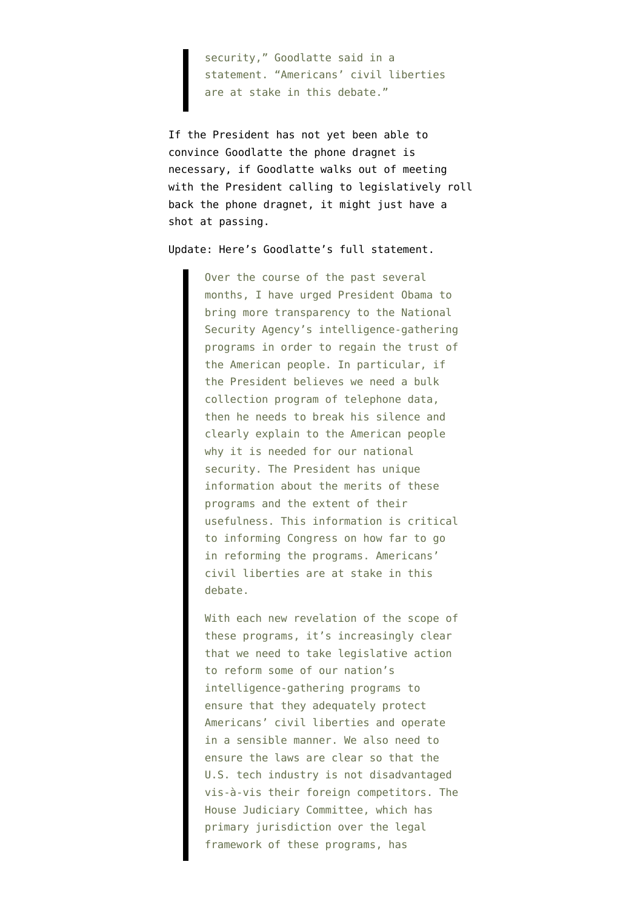security," Goodlatte said in a statement. "Americans' civil liberties are at stake in this debate."

If the President has not yet been able to convince Goodlatte the phone dragnet is necessary, if Goodlatte walks out of meeting with the President calling to legislatively roll back the phone dragnet, it might just have a shot at passing.

Update: Here's Goodlatte's [full statement.](http://judiciary.house.gov/news/2013/01092014.html)

Over the course of the past several months, I have urged President Obama to bring more transparency to the National Security Agency's intelligence-gathering programs in order to regain the trust of the American people. In particular, if the President believes we need a bulk collection program of telephone data, then he needs to break his silence and clearly explain to the American people why it is needed for our national security. The President has unique information about the merits of these programs and the extent of their usefulness. This information is critical to informing Congress on how far to go in reforming the programs. Americans' civil liberties are at stake in this debate.

With each new revelation of the scope of these programs, it's increasingly clear that we need to take legislative action to reform some of our nation's intelligence-gathering programs to ensure that they adequately protect Americans' civil liberties and operate in a sensible manner. We also need to ensure the laws are clear so that the U.S. tech industry is not disadvantaged vis-à-vis their foreign competitors. The House Judiciary Committee, which has primary jurisdiction over the legal framework of these programs, has